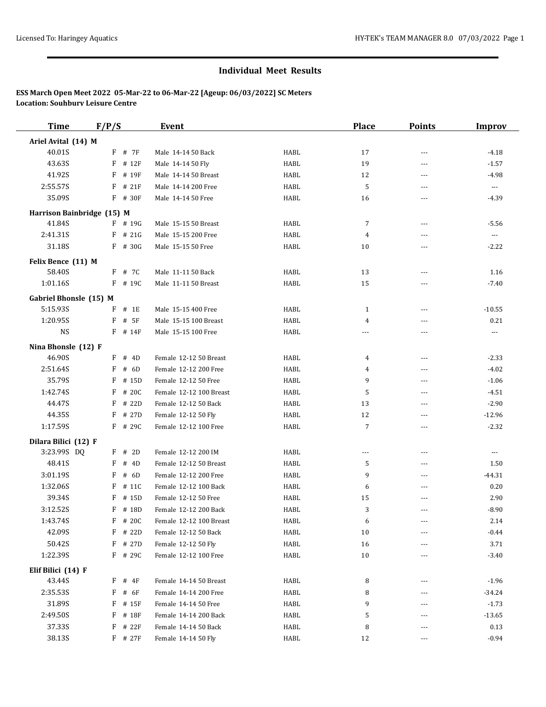| <b>Time</b>                   | F/P/S |              | <b>Event</b>            |      | <b>Place</b>   | <b>Points</b>  | <b>Improv</b>        |
|-------------------------------|-------|--------------|-------------------------|------|----------------|----------------|----------------------|
| Ariel Avital (14) M           |       |              |                         |      |                |                |                      |
| 40.01S                        |       | $F$ # 7 $F$  | Male 14-14 50 Back      | HABL | 17             | $- - -$        | $-4.18$              |
| 43.63S                        | F     | # 12F        | Male 14-14 50 Fly       | HABL | 19             | ---            | $-1.57$              |
| 41.92S                        | F     | # 19F        | Male 14-14 50 Breast    | HABL | 12             | $\overline{a}$ | $-4.98$              |
| 2:55.57S                      | F     | # 21F        | Male 14-14 200 Free     | HABL | 5              | ---            | $\cdots$             |
| 35.09S                        |       | F # 30F      | Male 14-14 50 Free      | HABL | 16             | $---$          | $-4.39$              |
| Harrison Bainbridge (15) M    |       |              |                         |      |                |                |                      |
| 41.84S                        |       | $F$ # 19G    | Male 15-15 50 Breast    | HABL | 7              | ---            | $-5.56$              |
| 2:41.31S                      | F     | # 21G        | Male 15-15 200 Free     | HABL | 4              | $---$          | $\scriptstyle\cdots$ |
| 31.18S                        |       | $F$ # 30G    | Male 15-15 50 Free      | HABL | 10             | ---            | $-2.22$              |
|                               |       |              |                         |      |                |                |                      |
| Felix Bence (11) M<br>58.40S  |       | F # 7C       | Male 11-11 50 Back      | HABL | 13             | ---            | 1.16                 |
| 1:01.16S                      |       | $F$ # 190    | Male 11-11 50 Breast    | HABL | 15             | ---            | $-7.40$              |
|                               |       |              |                         |      |                |                |                      |
| <b>Gabriel Bhonsle (15) M</b> |       |              |                         |      |                |                |                      |
| 5:15.93S                      | F     | # 1E         | Male 15-15 400 Free     | HABL | $\mathbf{1}$   | ---            | $-10.55$             |
| 1:20.95S                      | F     | # 5F         | Male 15-15 100 Breast   | HABL | 4              | ---            | 0.21                 |
| <b>NS</b>                     |       | $F$ # 14 $F$ | Male 15-15 100 Free     | HABL | ---            | $---$          | ---                  |
| Nina Bhonsle (12) F           |       |              |                         |      |                |                |                      |
| 46.90S                        | F     | # 4D         | Female 12-12 50 Breast  | HABL | 4              | ---            | $-2.33$              |
| 2:51.64S                      | F     | # 6D         | Female 12-12 200 Free   | HABL | 4              | $- - -$        | $-4.02$              |
| 35.79S                        | F     | # 15D        | Female 12-12 50 Free    | HABL | 9              | ---            | $-1.06$              |
| 1:42.74S                      | F     | # 20C        | Female 12-12 100 Breast | HABL | 5              | ---            | $-4.51$              |
| 44.47S                        | F     | # 22D        | Female 12-12 50 Back    | HABL | 13             | ---            | $-2.90$              |
| 44.35S                        | F     | # 27D        | Female 12-12 50 Fly     | HABL | 12             | ---            | $-12.96$             |
| 1:17.59S                      |       | F # 29C      | Female 12-12 100 Free   | HABL | 7              | $\overline{a}$ | $-2.32$              |
| Dilara Bilici (12) F          |       |              |                         |      |                |                |                      |
| 3:23.99S DQ                   |       | $F$ # 2D     | Female 12-12 200 IM     | HABL | $\overline{a}$ | $\overline{a}$ | ---                  |
| 48.41S                        | F     | # 4D         | Female 12-12 50 Breast  | HABL | 5              | ---            | 1.50                 |
| 3:01.19S                      | F     | # 6D         | Female 12-12 200 Free   | HABL | 9              | $\overline{a}$ | $-44.31$             |
| 1:32.06S                      | F     | # 11C        | Female 12-12 100 Back   | HABL | 6              | ---            | 0.20                 |
| 39.34S                        | F     | # 15D        | Female 12-12 50 Free    | HABL | 15             | ---            | 2.90                 |
| 3:12.52S                      | F     | # 18D        | Female 12-12 200 Back   | HABL | 3              | $- - -$        | $-8.90$              |
| 1:43.74S                      |       | F # 20C      | Female 12-12 100 Breast | HABL | 6              |                | 2.14                 |
| 42.09S                        |       | $F$ # 22D    | Female 12-12 50 Back    | HABL | 10             | ---            | $-0.44$              |
| 50.42S                        | F     | # 27D        | Female 12-12 50 Fly     | HABL | 16             | ---            | 3.71                 |
| 1:22.39S                      |       | F # 29C      | Female 12-12 100 Free   | HABL | 10             | ---            | $-3.40$              |
| Elif Bilici (14) F            |       |              |                         |      |                |                |                      |
| 43.44S                        | F     | # 4F         | Female 14-14 50 Breast  | HABL | 8              |                | $-1.96$              |
| 2:35.53S                      | F     | # 6F         | Female 14-14 200 Free   | HABL | 8              |                | $-34.24$             |
| 31.89S                        | F     | # 15F        | Female 14-14 50 Free    | HABL | 9              |                | $-1.73$              |
| 2:49.50S                      | F     | # 18F        | Female 14-14 200 Back   | HABL | 5              | ---            | $-13.65$             |
| 37.33S                        | F     | # 22F        | Female 14-14 50 Back    | HABL | 8              | ---            | 0.13                 |
| 38.13S                        |       | $F$ # 27 $F$ | Female 14-14 50 Fly     | HABL | 12             | ---            | $-0.94$              |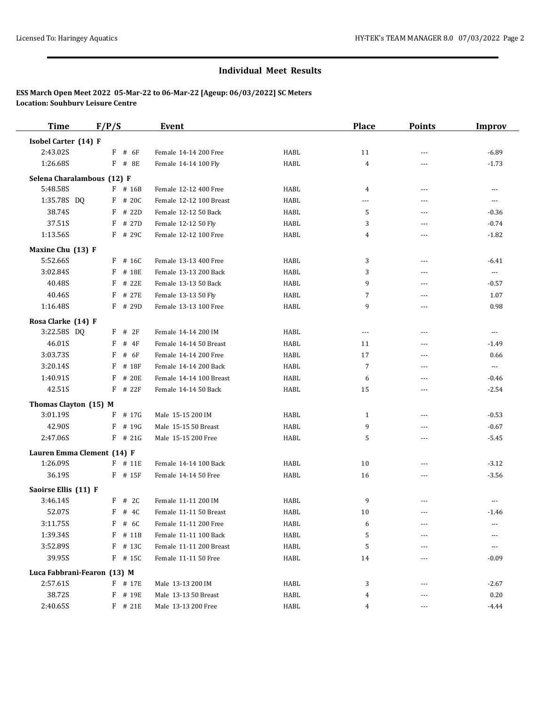| <b>Time</b>                 | F/P/S      | Event                   |      | <b>Place</b>   | <b>Points</b>  | <b>Improv</b>            |
|-----------------------------|------------|-------------------------|------|----------------|----------------|--------------------------|
| Isobel Carter (14) F        |            |                         |      |                |                |                          |
| 2:43.02S                    | F<br># 6F  | Female 14-14 200 Free   | HABL | 11             | ---            | $-6.89$                  |
| 1:26.68S                    | F # 8E     | Female 14-14 100 Fly    | HABL | $\overline{4}$ |                | $-1.73$                  |
| Selena Charalambous (12) F  |            |                         |      |                |                |                          |
| 5:48.58S                    | $F$ # 16B  | Female 12-12 400 Free   | HABL | $\overline{4}$ | $---$          | $\cdots$                 |
| 1:35.78S DQ                 | # 20C<br>F | Female 12-12 100 Breast | HABL | ---            | $\overline{a}$ | $\cdots$                 |
| 38.74S                      | # 22D<br>F | Female 12-12 50 Back    | HABL | 5              | $---$          | $-0.36$                  |
| 37.51S                      | # 27D<br>F | Female 12-12 50 Fly     | HABL | 3              | $\overline{a}$ | $-0.74$                  |
| 1:13.56S                    | F # 29C    | Female 12-12 100 Free   | HABL | 4              | $- - -$        | $-1.82$                  |
| Maxine Chu (13) F           |            |                         |      |                |                |                          |
| 5:52.66S                    | # 16C<br>F | Female 13-13 400 Free   | HABL | 3              | ---            | $-6.41$                  |
| 3:02.84S                    | # 18E<br>F | Female 13-13 200 Back   | HABL | 3              | ---            | $\overline{\phantom{a}}$ |
| 40.48S                      | # 22E<br>F | Female 13-13 50 Back    | HABL | 9              | ---            | $-0.57$                  |
| 40.46S                      | F<br># 27E | Female 13-13 50 Fly     | HABL | 7              | $\overline{a}$ | 1.07                     |
| 1:16.48S                    | F<br># 29D | Female 13-13 100 Free   | HABL | 9              | ---            | 0.98                     |
| Rosa Clarke (14) F          |            |                         |      |                |                |                          |
| 3:22.58S DQ                 | $F$ # 2F   | Female 14-14 200 IM     | HABL | $\cdots$       | $\overline{a}$ | $\sim$ $\sim$ $\sim$     |
| 46.01S                      | F<br># 4F  | Female 14-14 50 Breast  | HABL | 11             | $---$          | $-1.49$                  |
| 3:03.73S                    | F<br># 6F  | Female 14-14 200 Free   | HABL | 17             | $\overline{a}$ | 0.66                     |
| 3:20.14S                    | # 18F<br>F | Female 14-14 200 Back   | HABL | $\overline{7}$ | $- - -$        | $\overline{\phantom{a}}$ |
| 1:40.91S                    | F<br># 20E | Female 14-14 100 Breast | HABL | 6              | $---$          | $-0.46$                  |
| 42.51S                      | # 22F<br>F | Female 14-14 50 Back    | HABL | 15             | ---            | $-2.54$                  |
| Thomas Clayton (15) M       |            |                         |      |                |                |                          |
| 3:01.19S                    | # 17G<br>F | Male 15-15 200 IM       | HABL | $\mathbf{1}$   | ---            | $-0.53$                  |
| 42.90S                      | F<br># 19G | Male 15-15 50 Breast    | HABL | 9              | $---$          | $-0.67$                  |
| 2:47.06S                    | $F$ # 21G  | Male 15-15 200 Free     | HABL | 5              | ---            | $-5.45$                  |
| Lauren Emma Clement (14) F  |            |                         |      |                |                |                          |
| 1:26.09S                    | $F$ # 11E  | Female 14-14 100 Back   | HABL | 10             | $\overline{a}$ | $-3.12$                  |
| 36.19S                      | $F$ # 15F  | Female 14-14 50 Free    | HABL | 16             | ---            | $-3.56$                  |
| Saoirse Ellis (11) F        |            |                         |      |                |                |                          |
| 3:46.14S                    | # 2C<br>F  | Female 11-11 200 IM     | HABL | 9              | ---            | $\cdots$                 |
| 52.07S                      | $F$ # 4C   | Female 11-11 50 Breast  | HABL | 10             | $- - -$        | $-1.46$                  |
| 3:11.75S                    | F # 6C     | Female 11-11 200 Free   | HABL | 6              | ---            | ---                      |
| 1:39.34S                    | F<br># 11B | Female 11-11 100 Back   | HABL | 5              |                |                          |
| 3:52.89S                    | F<br># 13C | Female 11-11 200 Breast | HABL | 5              |                | $- - -$                  |
| 39.95S                      | $F$ # 15C  | Female 11-11 50 Free    | HABL | 14             |                | $-0.09$                  |
| Luca Fabbrani-Fearon (13) M |            |                         |      |                |                |                          |
| 2:57.61S                    | F # 17E    | Male 13-13 200 IM       | HABL | 3              |                | $-2.67$                  |
| 38.72S                      | F<br># 19E | Male 13-13 50 Breast    | HABL | 4              | ---            | 0.20                     |
| 2:40.65S                    | $F$ # 21E  | Male 13-13 200 Free     | HABL | 4              | ---            | $-4.44$                  |
|                             |            |                         |      |                |                |                          |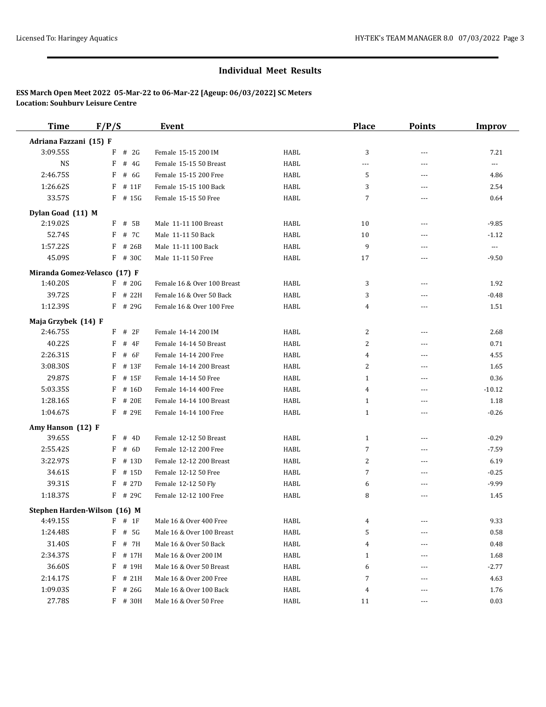| <b>Time</b>            | F/P/S                        | Event                       |      | <b>Place</b>   | <b>Points</b>            | <b>Improv</b>            |
|------------------------|------------------------------|-----------------------------|------|----------------|--------------------------|--------------------------|
| Adriana Fazzani (15) F |                              |                             |      |                |                          |                          |
| 3:09.55S               | # 2G<br>F                    | Female 15-15 200 IM         | HABL | 3              | ---                      | 7.21                     |
| <b>NS</b>              | F<br># 4G                    | Female 15-15 50 Breast      | HABL | ---            | ---                      | $\overline{\phantom{a}}$ |
| 2:46.75S               | # 6G<br>F                    | Female 15-15 200 Free       | HABL | 5              | ---                      | 4.86                     |
| 1:26.62S               | F<br># 11F                   | Female 15-15 100 Back       | HABL | 3              | $---$                    | 2.54                     |
| 33.57S                 | # 15G<br>F                   | Female 15-15 50 Free        | HABL | 7              | ---                      | 0.64                     |
| Dylan Goad (11) M      |                              |                             |      |                |                          |                          |
| 2:19.02S               | F<br># 5B                    | Male 11-11 100 Breast       | HABL | 10             | $\overline{\phantom{a}}$ | $-9.85$                  |
| 52.74S                 | F<br># 7C                    | Male 11-11 50 Back          | HABL | 10             | ---                      | $-1.12$                  |
| 1:57.22S               | F<br># 26B                   | Male 11-11 100 Back         | HABL | 9              | $\overline{a}$           | $\ldots$                 |
| 45.09S                 | F<br># 30C                   | Male 11-11 50 Free          | HABL | 17             | $\overline{a}$           | $-9.50$                  |
|                        | Miranda Gomez-Velasco (17) F |                             |      |                |                          |                          |
| 1:40.20S               | $F$ # 20G                    | Female 16 & Over 100 Breast | HABL | 3              | ---                      | 1.92                     |
| 39.72S                 | # 22H<br>F                   | Female 16 & Over 50 Back    | HABL | 3              | $---$                    | $-0.48$                  |
| 1:12.39S               | # 29G<br>F                   | Female 16 & Over 100 Free   | HABL | $\overline{4}$ | ---                      | 1.51                     |
| Maja Grzybek (14) F    |                              |                             |      |                |                          |                          |
| 2:46.75S               | $F$ # 2F                     | Female 14-14 200 IM         | HABL | 2              | ---                      | 2.68                     |
| 40.22S                 | F<br>$#$ 4F                  | Female 14-14 50 Breast      | HABL | 2              | $---$                    | 0.71                     |
| 2:26.31S               | # 6F<br>F                    | Female 14-14 200 Free       | HABL | 4              | $\overline{a}$           | 4.55                     |
| 3:08.30S               | F<br># 13F                   | Female 14-14 200 Breast     | HABL | $\overline{2}$ | $---$                    | 1.65                     |
| 29.87S                 | F<br># 15F                   | Female 14-14 50 Free        | HABL | $\mathbf{1}$   | $---$                    | 0.36                     |
| 5:03.35S               | F<br># 16D                   | Female 14-14 400 Free       | HABL | 4              | ---                      | $-10.12$                 |
| 1:28.16S               | # 20E<br>F                   | Female 14-14 100 Breast     | HABL | 1              | $---$                    | 1.18                     |
| 1:04.67S               | # 29E<br>F                   | Female 14-14 100 Free       | HABL | $\mathbf{1}$   | ---                      | $-0.26$                  |
| Amy Hanson (12) F      |                              |                             |      |                |                          |                          |
| 39.65S                 | F<br># 4D                    | Female 12-12 50 Breast      | HABL | $\mathbf{1}$   | $\cdots$                 | $-0.29$                  |
| 2:55.42S               | F<br># 6D                    | Female 12-12 200 Free       | HABL | 7              | ---                      | $-7.59$                  |
| 3:22.97S               | F<br># 13D                   | Female 12-12 200 Breast     | HABL | 2              | $---$                    | 6.19                     |
| 34.61S                 | F<br># 15D                   | Female 12-12 50 Free        | HABL | 7              | ---                      | $-0.25$                  |
| 39.31S                 | F<br># 27D                   | Female 12-12 50 Fly         | HABL | 6              | $---$                    | $-9.99$                  |
| 1:18.37S               | # 29C<br>F                   | Female 12-12 100 Free       | HABL | 8              | $\overline{a}$           | 1.45                     |
|                        | Stephen Harden-Wilson (16) M |                             |      |                |                          |                          |
| 4:49.15S               | $F$ # 1F                     | Male 16 & Over 400 Free     | HABL |                |                          | 9.33                     |
| 1:24.48S               | F<br># 5G                    | Male 16 & Over 100 Breast   | HABL | 5              |                          | 0.58                     |
| 31.40S                 | # 7H<br>F                    | Male 16 & Over 50 Back      | HABL | $\overline{4}$ |                          | 0.48                     |
| 2:34.37S               | F<br># 17H                   | Male 16 & Over 200 IM       | HABL | $\mathbf{1}$   |                          | 1.68                     |
| 36.60S                 | F<br># 19H                   | Male 16 & Over 50 Breast    | HABL | 6              |                          | $-2.77$                  |
| 2:14.17S               | F<br># 21H                   | Male 16 & Over 200 Free     | HABL | 7              |                          | 4.63                     |
| 1:09.03S               | F<br># 26G                   | Male 16 & Over 100 Back     | HABL | 4              |                          | 1.76                     |
| 27.78S                 | $F$ # 30H                    | Male 16 & Over 50 Free      | HABL | 11             | ---                      | 0.03                     |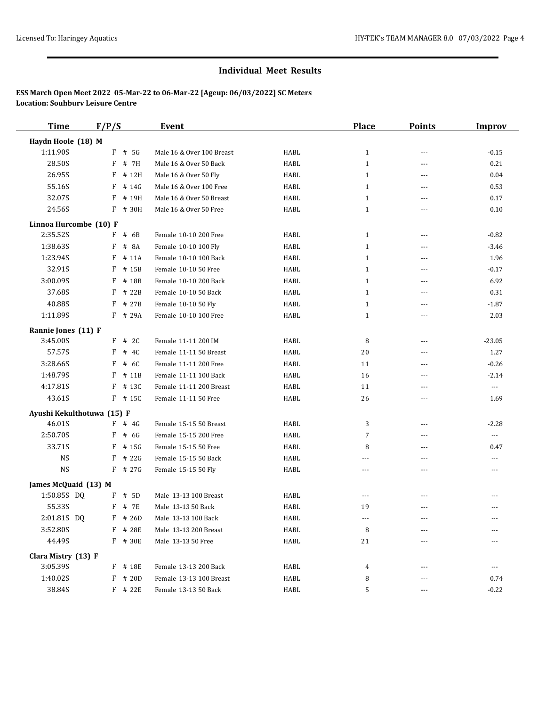| <b>Time</b>                | F/P/S |           | <b>Event</b>              |             | <b>Place</b>   | <b>Points</b>  | <b>Improv</b>            |
|----------------------------|-------|-----------|---------------------------|-------------|----------------|----------------|--------------------------|
| Haydn Hoole (18) M         |       |           |                           |             |                |                |                          |
| 1:11.90S                   | F     | # 5G      | Male 16 & Over 100 Breast | HABL        | $\mathbf{1}$   | $---$          | $-0.15$                  |
| 28.50S                     | F     | # 7H      | Male 16 & Over 50 Back    | <b>HABL</b> | $\mathbf{1}$   | $\overline{a}$ | 0.21                     |
| 26.95S                     | F     | # 12H     | Male 16 & Over 50 Fly     | <b>HABL</b> | $\mathbf{1}$   | $- - -$        | 0.04                     |
| 55.16S                     | F     | # 14G     | Male 16 & Over 100 Free   | HABL        | 1              | $- - -$        | 0.53                     |
| 32.07S                     | F     | # 19H     | Male 16 & Over 50 Breast  | HABL        | $\mathbf{1}$   | ---            | 0.17                     |
| 24.56S                     | F     | # 30H     | Male 16 & Over 50 Free    | <b>HABL</b> | $\mathbf{1}$   | $\overline{a}$ | 0.10                     |
| Linnoa Hurcombe (10) F     |       |           |                           |             |                |                |                          |
| 2:35.52S                   | F     | # 6B      | Female 10-10 200 Free     | HABL        | $\mathbf{1}$   | ---            | $-0.82$                  |
| 1:38.63S                   | F     | # 8A      | Female 10-10 100 Fly      | <b>HABL</b> | $\mathbf{1}$   | $\overline{a}$ | $-3.46$                  |
| 1:23.94S                   | F     | # 11A     | Female 10-10 100 Back     | HABL        | $\mathbf{1}$   | $---$          | 1.96                     |
| 32.91S                     | F     | # 15B     | Female 10-10 50 Free      | <b>HABL</b> | $\mathbf{1}$   | $\overline{a}$ | $-0.17$                  |
| 3:00.09S                   | F     | # 18B     | Female 10-10 200 Back     | HABL        | $\mathbf{1}$   | $---$          | 6.92                     |
| 37.68S                     | F     | # 22B     | Female 10-10 50 Back      | HABL        | $\mathbf{1}$   | $\sim$ $\sim$  | 0.31                     |
| 40.88S                     | F     | # 27B     | Female 10-10 50 Fly       | HABL        | $\mathbf{1}$   | ---            | $-1.87$                  |
| 1:11.89S                   |       | F # 29A   | Female 10-10 100 Free     | HABL        | $\mathbf{1}$   | $- - -$        | 2.03                     |
| Rannie Jones (11) F        |       |           |                           |             |                |                |                          |
| 3:45.00S                   | F     | # 2C      | Female 11-11 200 IM       | HABL        | 8              | ---            | $-23.05$                 |
| 57.57S                     | F     | # 4C      | Female 11-11 50 Breast    | <b>HABL</b> | 20             | ---            | 1.27                     |
| 3:28.66S                   | F     | # 6C      | Female 11-11 200 Free     | <b>HABL</b> | 11             | ---            | $-0.26$                  |
| 1:48.79S                   | F     | # 11B     | Female 11-11 100 Back     | HABL        | 16             | $\overline{a}$ | $-2.14$                  |
| 4:17.81S                   | F     | # 13C     | Female 11-11 200 Breast   | HABL        | 11             | ---            | $\overline{\phantom{a}}$ |
| 43.61S                     | F     | # 15C     | Female 11-11 50 Free      | HABL        | 26             | $\overline{a}$ | 1.69                     |
| Ayushi Kekulthotuwa (15) F |       |           |                           |             |                |                |                          |
| 46.01S                     |       | $F$ # 4G  | Female 15-15 50 Breast    | HABL        | 3              | ---            | $-2.28$                  |
| 2:50.70S                   | F     | # 6G      | Female 15-15 200 Free     | HABL        | 7              | ---            | $\cdots$                 |
| 33.71S                     | F     | # 15G     | Female 15-15 50 Free      | HABL        | 8              | $---$          | 0.47                     |
| <b>NS</b>                  | F     | # 22G     | Female 15-15 50 Back      | <b>HABL</b> | $\overline{a}$ | $\overline{a}$ | $---$                    |
| <b>NS</b>                  |       | $F$ # 27G | Female 15-15 50 Fly       | <b>HABL</b> | ---            | $\overline{a}$ | $---$                    |
| James McQuaid (13) M       |       |           |                           |             |                |                |                          |
| 1:50.85S DQ                | F     | # 5D      | Male 13-13 100 Breast     | HABL        | ---            | ---            |                          |
| 55.33S                     | F     | # 7E      | Male 13-13 50 Back        | <b>HABL</b> | 19             | $- - -$        | $---$                    |
| 2:01.81S DQ                |       | $F$ # 26D | Male 13-13 100 Back       | HABL        | ---            | $---$          | $---$                    |
| 3:52.80S                   |       | $F$ # 28E | Male 13-13 200 Breast     | HABL        | 8              |                |                          |
| 44.49S                     |       | F # 30E   | Male 13-13 50 Free        | <b>HABL</b> | 21             |                |                          |
| Clara Mistry (13) F        |       |           |                           |             |                |                |                          |
| 3:05.39S                   |       | F # 18E   | Female 13-13 200 Back     | HABL        | 4              | $---$          | $\cdots$                 |
| 1:40.02S                   | F     | # 20D     | Female 13-13 100 Breast   | HABL        | 8              | ---            | 0.74                     |
| 38.84S                     |       | $F$ # 22E | Female 13-13 50 Back      | HABL        | 5              | $---$          | $-0.22$                  |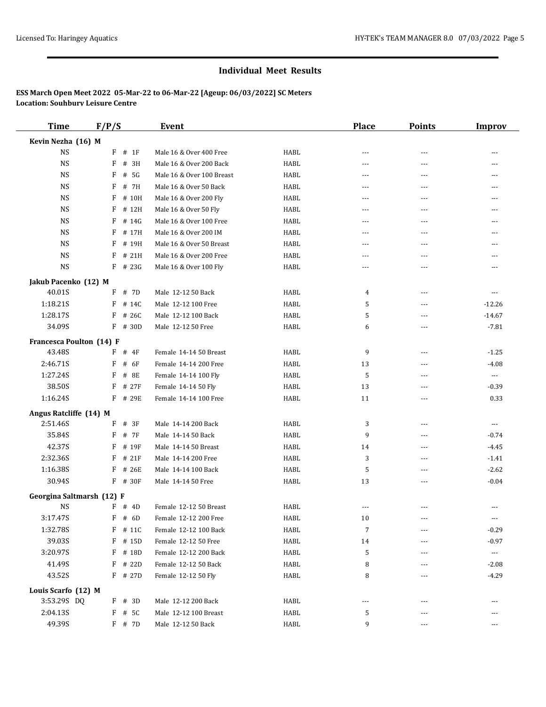| <b>Time</b>               | F/P/S |           | <b>Event</b>              |             | <b>Place</b> | <b>Points</b>  | <b>Improv</b>        |
|---------------------------|-------|-----------|---------------------------|-------------|--------------|----------------|----------------------|
| Kevin Nezha (16) M        |       |           |                           |             |              |                |                      |
| <b>NS</b>                 | F     | # 1F      | Male 16 & Over 400 Free   | HABL        | $---$        | ---            |                      |
| <b>NS</b>                 | F     | # 3H      | Male 16 & Over 200 Back   | <b>HABL</b> | ---          | $\overline{a}$ | $--$                 |
| <b>NS</b>                 | F     | # 5G      | Male 16 & Over 100 Breast | <b>HABL</b> | ---          | $- - -$        | ---                  |
| <b>NS</b>                 | F     | # 7H      | Male 16 & Over 50 Back    | <b>HABL</b> | $---$        | $- - -$        | $---$                |
| <b>NS</b>                 | F     | # 10H     | Male 16 & Over 200 Fly    | <b>HABL</b> | ---          | ---            | $- - -$              |
| <b>NS</b>                 | F     | # 12H     | Male 16 & Over 50 Fly     | <b>HABL</b> | $- - -$      | $\overline{a}$ | $---$                |
| <b>NS</b>                 | F     | # 14G     | Male 16 & Over 100 Free   | HABL        | ---          | ---            |                      |
| <b>NS</b>                 | F     | # 17H     | Male 16 & Over 200 IM     | <b>HABL</b> | $---$        | $- - -$        |                      |
| <b>NS</b>                 | F     | # 19H     | Male 16 & Over 50 Breast  | <b>HABL</b> | $- - -$      | $\overline{a}$ | ---                  |
| <b>NS</b>                 | F     | # 21H     | Male 16 & Over 200 Free   | <b>HABL</b> | ---          | ---            |                      |
| <b>NS</b>                 |       | $F$ # 23G | Male 16 & Over 100 Fly    | <b>HABL</b> | $---$        | $- - -$        | $---$                |
| Jakub Pacenko (12) M      |       |           |                           |             |              |                |                      |
| 40.01S                    | F     | # 7D      | Male 12-12 50 Back        | HABL        | 4            | $- - -$        | $---$                |
| 1:18.21S                  | F     | # 14C     | Male 12-12 100 Free       | <b>HABL</b> | 5            | ---            | $-12.26$             |
| 1:28.17S                  | F     | # 26C     | Male 12-12 100 Back       | <b>HABL</b> | 5            | $- - -$        | $-14.67$             |
| 34.09S                    | F     | # 30D     | Male 12-12 50 Free        | <b>HABL</b> | 6            | ---            | $-7.81$              |
| Francesca Poulton (14) F  |       |           |                           |             |              |                |                      |
| 43.48S                    | F     | # 4F      | Female 14-14 50 Breast    | HABL        | 9            | ---            | $-1.25$              |
| 2:46.71S                  | F     | # 6F      | Female 14-14 200 Free     | <b>HABL</b> | 13           | ---            | $-4.08$              |
| 1:27.24S                  | F     | # 8E      | Female 14-14 100 Fly      | <b>HABL</b> | 5            | $\overline{a}$ | $\scriptstyle\cdots$ |
| 38.50S                    | F     | # 27F     | Female 14-14 50 Fly       | <b>HABL</b> | 13           | ---            | $-0.39$              |
| 1:16.24S                  | F     | # 29E     | Female 14-14 100 Free     | <b>HABL</b> | 11           | $\overline{a}$ | 0.33                 |
| Angus Ratcliffe (14) M    |       |           |                           |             |              |                |                      |
| 2:51.46S                  | F     | # 3F      | Male 14-14 200 Back       | <b>HABL</b> | 3            | ---            | $\scriptstyle\cdots$ |
| 35.84S                    | F     | # 7F      | Male 14-14 50 Back        | <b>HABL</b> | 9            | ---            | $-0.74$              |
| 42.37S                    | F     | # 19F     | Male 14-14 50 Breast      | <b>HABL</b> | 14           | $- - -$        | $-4.45$              |
| 2:32.36S                  | F     | # 21F     | Male 14-14 200 Free       | <b>HABL</b> | 3            | $\overline{a}$ | $-1.41$              |
| 1:16.38S                  | F     | # 26E     | Male 14-14 100 Back       | <b>HABL</b> | 5            | $---$          | $-2.62$              |
| 30.94S                    |       | F # 30F   | Male 14-14 50 Free        | <b>HABL</b> | 13           | $\sim$ $\sim$  | $-0.04$              |
| Georgina Saltmarsh (12) F |       |           |                           |             |              |                |                      |
| <b>NS</b>                 |       | $F$ # 4D  | Female 12-12 50 Breast    | <b>HABL</b> | ---          |                |                      |
| 3:17.47S                  |       | $F$ # 6D  | Female 12-12 200 Free     | HABL        | 10           | ---            | $--$                 |
| 1:32.78S                  |       | $F$ # 11C | Female 12-12 100 Back     | HABL        | 7            |                | $-0.29$              |
| 39.03S                    | F     | # 15D     | Female 12-12 50 Free      | HABL        | 14           | ---            | $-0.97$              |
| 3:20.97S                  | F     | # 18D     | Female 12-12 200 Back     | HABL        | 5            |                | ---                  |
| 41.49S                    | F     | # 22D     | Female 12-12 50 Back      | HABL        | 8            | $---$          | $-2.08$              |
| 43.52S                    |       | F # 27D   | Female 12-12 50 Fly       | HABL        | 8            | ---            | $-4.29$              |
| Louis Scarfo (12) M       |       |           |                           |             |              |                |                      |
| 3:53.29S DQ               |       | $F$ # 3D  | Male 12-12 200 Back       | HABL        | ---          | ---            |                      |
| 2:04.13S                  | F     | # 5C      | Male 12-12 100 Breast     | HABL        | 5            | ---            |                      |
| 49.39S                    |       | $F$ # 7D  | Male 12-12 50 Back        | HABL        | 9            | $---$          | $---$                |
|                           |       |           |                           |             |              |                |                      |